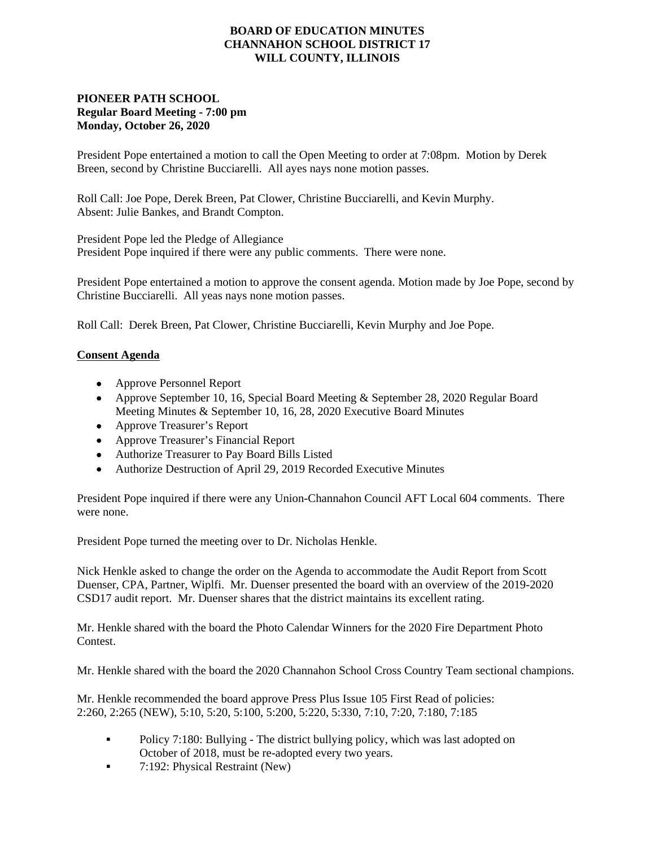### **BOARD OF EDUCATION MINUTES CHANNAHON SCHOOL DISTRICT 17 WILL COUNTY, ILLINOIS**

### **PIONEER PATH SCHOOL Regular Board Meeting - 7:00 pm Monday, October 26, 2020**

President Pope entertained a motion to call the Open Meeting to order at 7:08pm. Motion by Derek Breen, second by Christine Bucciarelli. All ayes nays none motion passes.

Roll Call: Joe Pope, Derek Breen, Pat Clower, Christine Bucciarelli, and Kevin Murphy. Absent: Julie Bankes, and Brandt Compton.

President Pope led the Pledge of Allegiance President Pope inquired if there were any public comments. There were none.

President Pope entertained a motion to approve the consent agenda. Motion made by Joe Pope, second by Christine Bucciarelli. All yeas nays none motion passes.

Roll Call: Derek Breen, Pat Clower, Christine Bucciarelli, Kevin Murphy and Joe Pope.

### **Consent Agenda**

- Approve Personnel Report
- Approve September 10, 16, Special Board Meeting & September 28, 2020 Regular Board Meeting Minutes & September 10, 16, 28, 2020 Executive Board Minutes
- Approve Treasurer's Report
- Approve Treasurer's Financial Report
- Authorize Treasurer to Pay Board Bills Listed
- Authorize Destruction of April 29, 2019 Recorded Executive Minutes

President Pope inquired if there were any Union-Channahon Council AFT Local 604 comments. There were none.

President Pope turned the meeting over to Dr. Nicholas Henkle.

Nick Henkle asked to change the order on the Agenda to accommodate the Audit Report from Scott Duenser, CPA, Partner, Wiplfi. Mr. Duenser presented the board with an overview of the 2019-2020 CSD17 audit report. Mr. Duenser shares that the district maintains its excellent rating.

Mr. Henkle shared with the board the Photo Calendar Winners for the 2020 Fire Department Photo **Contest** 

Mr. Henkle shared with the board the 2020 Channahon School Cross Country Team sectional champions.

Mr. Henkle recommended the board approve Press Plus Issue 105 First Read of policies: 2:260, 2:265 (NEW), 5:10, 5:20, 5:100, 5:200, 5:220, 5:330, 7:10, 7:20, 7:180, 7:185

- Policy 7:180: Bullying The district bullying policy, which was last adopted on October of 2018, must be re-adopted every two years.
- 7:192: Physical Restraint (New)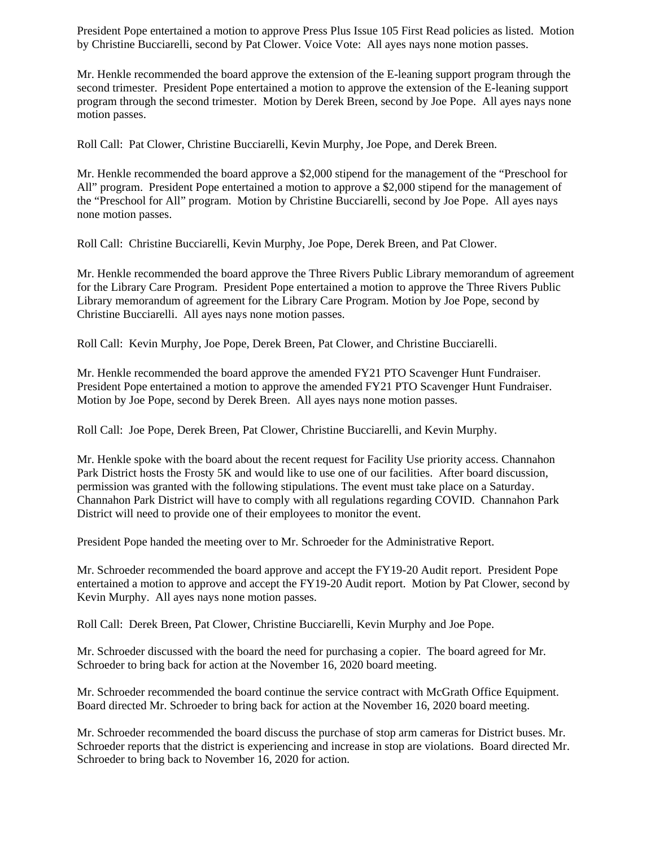President Pope entertained a motion to approve Press Plus Issue 105 First Read policies as listed. Motion by Christine Bucciarelli, second by Pat Clower. Voice Vote: All ayes nays none motion passes.

Mr. Henkle recommended the board approve the extension of the E-leaning support program through the second trimester. President Pope entertained a motion to approve the extension of the E-leaning support program through the second trimester. Motion by Derek Breen, second by Joe Pope. All ayes nays none motion passes.

Roll Call: Pat Clower, Christine Bucciarelli, Kevin Murphy, Joe Pope, and Derek Breen.

Mr. Henkle recommended the board approve a \$2,000 stipend for the management of the "Preschool for All" program. President Pope entertained a motion to approve a \$2,000 stipend for the management of the "Preschool for All" program. Motion by Christine Bucciarelli, second by Joe Pope. All ayes nays none motion passes.

Roll Call: Christine Bucciarelli, Kevin Murphy, Joe Pope, Derek Breen, and Pat Clower.

Mr. Henkle recommended the board approve the Three Rivers Public Library memorandum of agreement for the Library Care Program. President Pope entertained a motion to approve the Three Rivers Public Library memorandum of agreement for the Library Care Program. Motion by Joe Pope, second by Christine Bucciarelli. All ayes nays none motion passes.

Roll Call: Kevin Murphy, Joe Pope, Derek Breen, Pat Clower, and Christine Bucciarelli.

Mr. Henkle recommended the board approve the amended FY21 PTO Scavenger Hunt Fundraiser. President Pope entertained a motion to approve the amended FY21 PTO Scavenger Hunt Fundraiser. Motion by Joe Pope, second by Derek Breen. All ayes nays none motion passes.

Roll Call: Joe Pope, Derek Breen, Pat Clower, Christine Bucciarelli, and Kevin Murphy.

Mr. Henkle spoke with the board about the recent request for Facility Use priority access. Channahon Park District hosts the Frosty 5K and would like to use one of our facilities. After board discussion, permission was granted with the following stipulations. The event must take place on a Saturday. Channahon Park District will have to comply with all regulations regarding COVID. Channahon Park District will need to provide one of their employees to monitor the event.

President Pope handed the meeting over to Mr. Schroeder for the Administrative Report.

Mr. Schroeder recommended the board approve and accept the FY19-20 Audit report. President Pope entertained a motion to approve and accept the FY19-20 Audit report. Motion by Pat Clower, second by Kevin Murphy. All ayes nays none motion passes.

Roll Call: Derek Breen, Pat Clower, Christine Bucciarelli, Kevin Murphy and Joe Pope.

Mr. Schroeder discussed with the board the need for purchasing a copier. The board agreed for Mr. Schroeder to bring back for action at the November 16, 2020 board meeting.

Mr. Schroeder recommended the board continue the service contract with McGrath Office Equipment. Board directed Mr. Schroeder to bring back for action at the November 16, 2020 board meeting.

Mr. Schroeder recommended the board discuss the purchase of stop arm cameras for District buses. Mr. Schroeder reports that the district is experiencing and increase in stop are violations. Board directed Mr. Schroeder to bring back to November 16, 2020 for action.